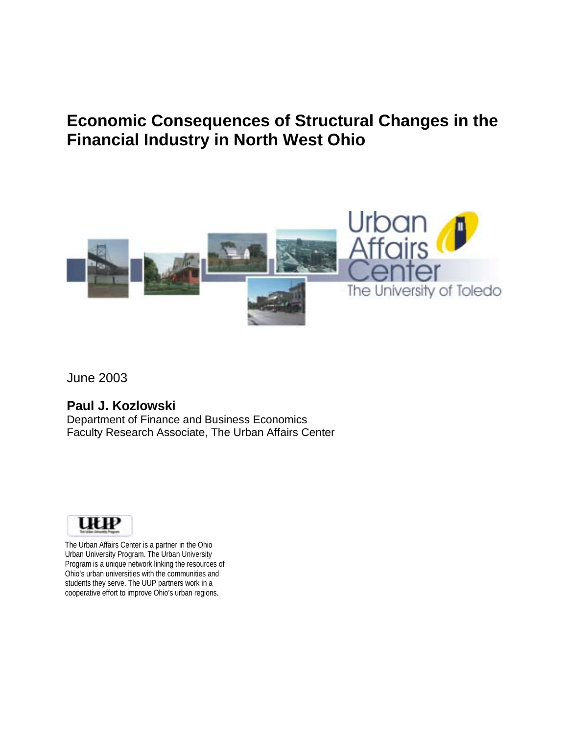# **Economic Consequences of Structural Changes in the Financial Industry in North West Ohio**



June 2003

### **Paul J. Kozlowski**

Department of Finance and Business Economics Faculty Research Associate, The Urban Affairs Center



The Urban Affairs Center is a partner in the Ohio Urban University Program. The Urban University Program is a unique network linking the resources of Ohio's urban universities with the communities and students they serve. The UUP partners work in a cooperative effort to improve Ohio's urban regions.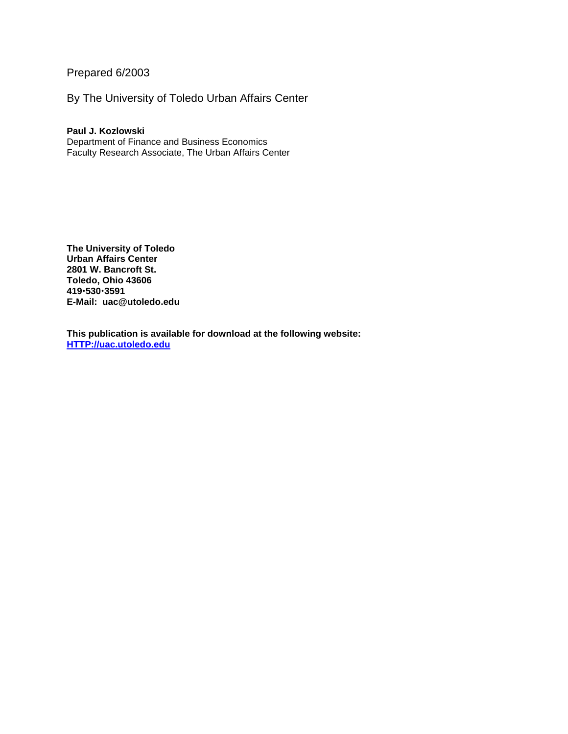Prepared 6/2003

By The University of Toledo Urban Affairs Center

#### **Paul J. Kozlowski**

Department of Finance and Business Economics Faculty Research Associate, The Urban Affairs Center

**The University of Toledo Urban Affairs Center 2801 W. Bancroft St. Toledo, Ohio 43606 419**!**530**!**3591 E-Mail: uac@utoledo.edu** 

**This publication is available for download at the following website: HTTP://uac.utoledo.edu**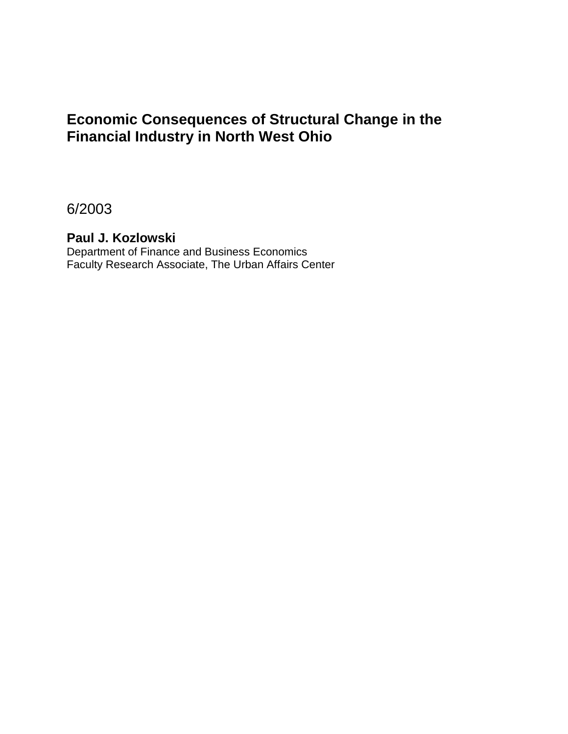## **Economic Consequences of Structural Change in the Financial Industry in North West Ohio**

6/2003

### **Paul J. Kozlowski**

Department of Finance and Business Economics Faculty Research Associate, The Urban Affairs Center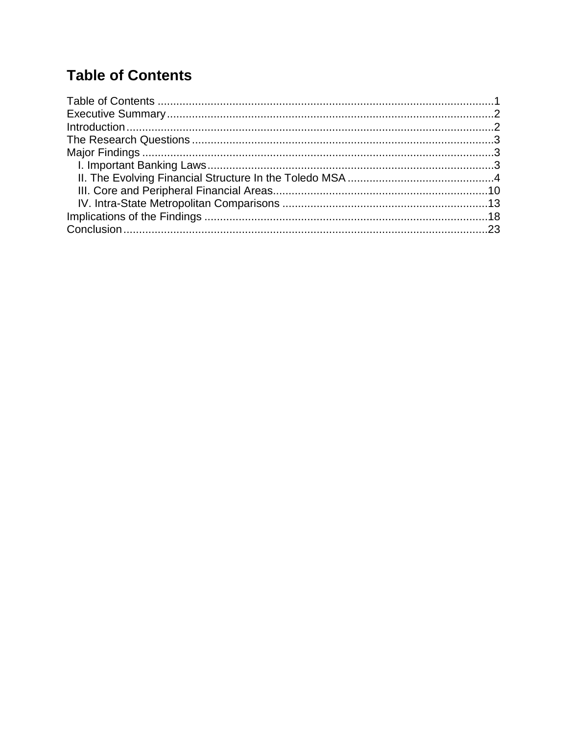# **Table of Contents**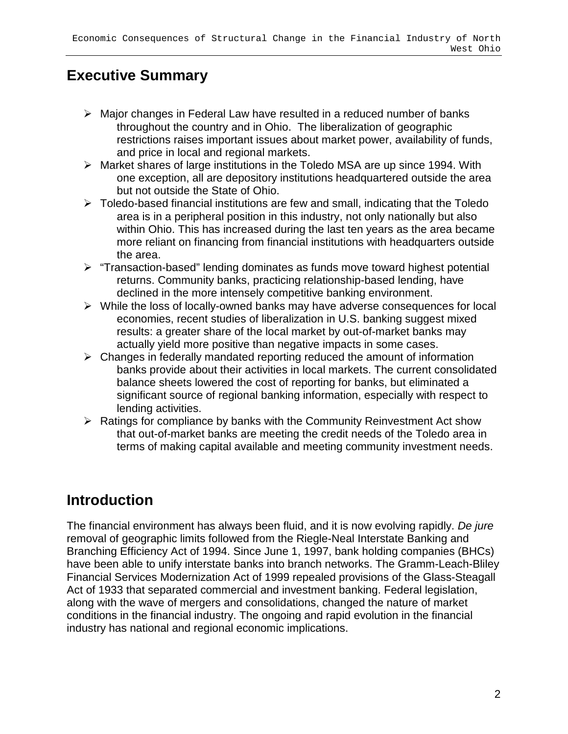## **Executive Summary**

- $\triangleright$  Major changes in Federal Law have resulted in a reduced number of banks throughout the country and in Ohio. The liberalization of geographic restrictions raises important issues about market power, availability of funds, and price in local and regional markets.
- $\triangleright$  Market shares of large institutions in the Toledo MSA are up since 1994. With one exception, all are depository institutions headquartered outside the area but not outside the State of Ohio.
- $\triangleright$  Toledo-based financial institutions are few and small, indicating that the Toledo area is in a peripheral position in this industry, not only nationally but also within Ohio. This has increased during the last ten years as the area became more reliant on financing from financial institutions with headquarters outside the area.
- $\triangleright$  "Transaction-based" lending dominates as funds move toward highest potential returns. Community banks, practicing relationship-based lending, have declined in the more intensely competitive banking environment.
- $\triangleright$  While the loss of locally-owned banks may have adverse consequences for local economies, recent studies of liberalization in U.S. banking suggest mixed results: a greater share of the local market by out-of-market banks may actually yield more positive than negative impacts in some cases.
- $\triangleright$  Changes in federally mandated reporting reduced the amount of information banks provide about their activities in local markets. The current consolidated balance sheets lowered the cost of reporting for banks, but eliminated a significant source of regional banking information, especially with respect to lending activities.
- $\triangleright$  Ratings for compliance by banks with the Community Reinvestment Act show that out-of-market banks are meeting the credit needs of the Toledo area in terms of making capital available and meeting community investment needs.

# **Introduction**

The financial environment has always been fluid, and it is now evolving rapidly. De jure removal of geographic limits followed from the Riegle-Neal Interstate Banking and Branching Efficiency Act of 1994. Since June 1, 1997, bank holding companies (BHCs) have been able to unify interstate banks into branch networks. The Gramm-Leach-Bliley Financial Services Modernization Act of 1999 repealed provisions of the Glass-Steagall Act of 1933 that separated commercial and investment banking. Federal legislation, along with the wave of mergers and consolidations, changed the nature of market conditions in the financial industry. The ongoing and rapid evolution in the financial industry has national and regional economic implications.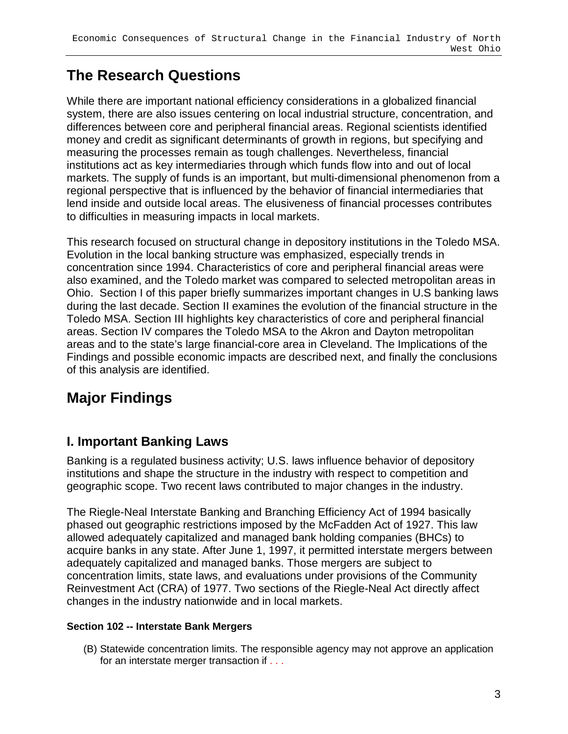# **The Research Questions**

While there are important national efficiency considerations in a globalized financial system, there are also issues centering on local industrial structure, concentration, and differences between core and peripheral financial areas. Regional scientists identified money and credit as significant determinants of growth in regions, but specifying and measuring the processes remain as tough challenges. Nevertheless, financial institutions act as key intermediaries through which funds flow into and out of local markets. The supply of funds is an important, but multi-dimensional phenomenon from a regional perspective that is influenced by the behavior of financial intermediaries that lend inside and outside local areas. The elusiveness of financial processes contributes to difficulties in measuring impacts in local markets.

This research focused on structural change in depository institutions in the Toledo MSA. Evolution in the local banking structure was emphasized, especially trends in concentration since 1994. Characteristics of core and peripheral financial areas were also examined, and the Toledo market was compared to selected metropolitan areas in Ohio. Section I of this paper briefly summarizes important changes in U.S banking laws during the last decade. Section II examines the evolution of the financial structure in the Toledo MSA. Section III highlights key characteristics of core and peripheral financial areas. Section IV compares the Toledo MSA to the Akron and Dayton metropolitan areas and to the state's large financial-core area in Cleveland. The Implications of the Findings and possible economic impacts are described next, and finally the conclusions of this analysis are identified.

# **Major Findings**

## **I. Important Banking Laws**

Banking is a regulated business activity; U.S. laws influence behavior of depository institutions and shape the structure in the industry with respect to competition and geographic scope. Two recent laws contributed to major changes in the industry.

The Riegle-Neal Interstate Banking and Branching Efficiency Act of 1994 basically phased out geographic restrictions imposed by the McFadden Act of 1927. This law allowed adequately capitalized and managed bank holding companies (BHCs) to acquire banks in any state. After June 1, 1997, it permitted interstate mergers between adequately capitalized and managed banks. Those mergers are subject to concentration limits, state laws, and evaluations under provisions of the Community Reinvestment Act (CRA) of 1977. Two sections of the Riegle-Neal Act directly affect changes in the industry nationwide and in local markets.

### **Section 102 -- Interstate Bank Mergers**

(B) Statewide concentration limits. The responsible agency may not approve an application for an interstate merger transaction if . . .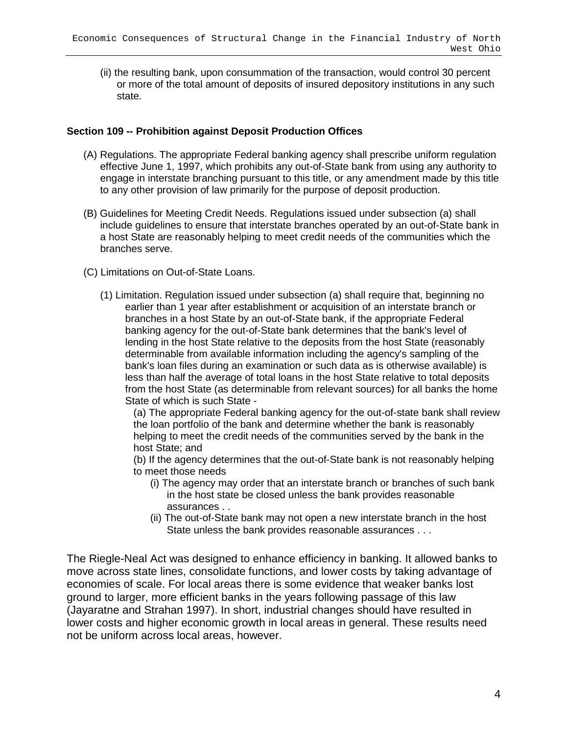(ii) the resulting bank, upon consummation of the transaction, would control 30 percent or more of the total amount of deposits of insured depository institutions in any such state.

### **Section 109 -- Prohibition against Deposit Production Offices**

- (A) Regulations. The appropriate Federal banking agency shall prescribe uniform regulation effective June 1, 1997, which prohibits any out-of-State bank from using any authority to engage in interstate branching pursuant to this title, or any amendment made by this title to any other provision of law primarily for the purpose of deposit production.
- (B) Guidelines for Meeting Credit Needs. Regulations issued under subsection (a) shall include guidelines to ensure that interstate branches operated by an out-of-State bank in a host State are reasonably helping to meet credit needs of the communities which the branches serve.
- (C) Limitations on Out-of-State Loans.
	- (1) Limitation. Regulation issued under subsection (a) shall require that, beginning no earlier than 1 year after establishment or acquisition of an interstate branch or branches in a host State by an out-of-State bank, if the appropriate Federal banking agency for the out-of-State bank determines that the bank's level of lending in the host State relative to the deposits from the host State (reasonably determinable from available information including the agency's sampling of the bank's loan files during an examination or such data as is otherwise available) is less than half the average of total loans in the host State relative to total deposits from the host State (as determinable from relevant sources) for all banks the home State of which is such State -

(a) The appropriate Federal banking agency for the out-of-state bank shall review the loan portfolio of the bank and determine whether the bank is reasonably helping to meet the credit needs of the communities served by the bank in the host State; and

(b) If the agency determines that the out-of-State bank is not reasonably helping to meet those needs

- (i) The agency may order that an interstate branch or branches of such bank in the host state be closed unless the bank provides reasonable assurances . .
- (ii) The out-of-State bank may not open a new interstate branch in the host State unless the bank provides reasonable assurances . . .

The Riegle-Neal Act was designed to enhance efficiency in banking. It allowed banks to move across state lines, consolidate functions, and lower costs by taking advantage of economies of scale. For local areas there is some evidence that weaker banks lost ground to larger, more efficient banks in the years following passage of this law (Jayaratne and Strahan 1997). In short, industrial changes should have resulted in lower costs and higher economic growth in local areas in general. These results need not be uniform across local areas, however.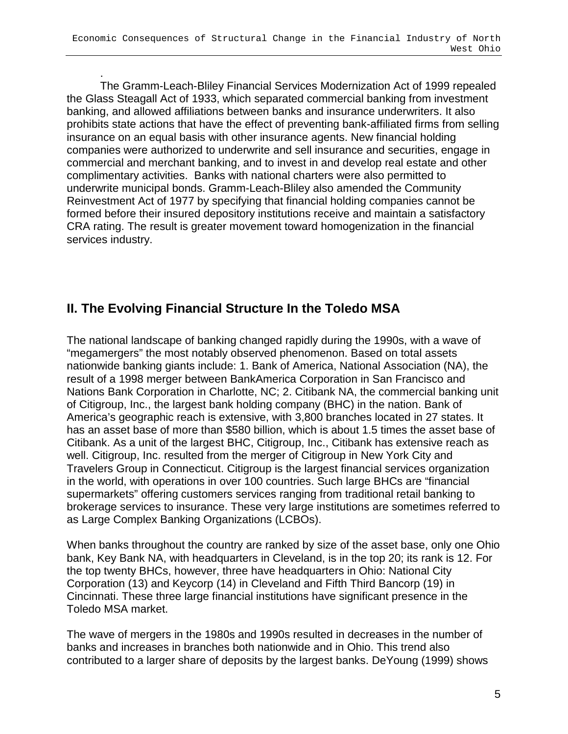. The Gramm-Leach-Bliley Financial Services Modernization Act of 1999 repealed the Glass Steagall Act of 1933, which separated commercial banking from investment banking, and allowed affiliations between banks and insurance underwriters. It also prohibits state actions that have the effect of preventing bank-affiliated firms from selling insurance on an equal basis with other insurance agents. New financial holding companies were authorized to underwrite and sell insurance and securities, engage in commercial and merchant banking, and to invest in and develop real estate and other complimentary activities. Banks with national charters were also permitted to underwrite municipal bonds. Gramm-Leach-Bliley also amended the Community Reinvestment Act of 1977 by specifying that financial holding companies cannot be formed before their insured depository institutions receive and maintain a satisfactory CRA rating. The result is greater movement toward homogenization in the financial services industry.

### **II. The Evolving Financial Structure In the Toledo MSA**

The national landscape of banking changed rapidly during the 1990s, with a wave of "megamergers" the most notably observed phenomenon. Based on total assets nationwide banking giants include: 1. Bank of America, National Association (NA), the result of a 1998 merger between BankAmerica Corporation in San Francisco and Nations Bank Corporation in Charlotte, NC; 2. Citibank NA, the commercial banking unit of Citigroup, Inc., the largest bank holding company (BHC) in the nation. Bank of America's geographic reach is extensive, with 3,800 branches located in 27 states. It has an asset base of more than \$580 billion, which is about 1.5 times the asset base of Citibank. As a unit of the largest BHC, Citigroup, Inc., Citibank has extensive reach as well. Citigroup, Inc. resulted from the merger of Citigroup in New York City and Travelers Group in Connecticut. Citigroup is the largest financial services organization in the world, with operations in over 100 countries. Such large BHCs are "financial supermarkets" offering customers services ranging from traditional retail banking to brokerage services to insurance. These very large institutions are sometimes referred to as Large Complex Banking Organizations (LCBOs).

When banks throughout the country are ranked by size of the asset base, only one Ohio bank, Key Bank NA, with headquarters in Cleveland, is in the top 20; its rank is 12. For the top twenty BHCs, however, three have headquarters in Ohio: National City Corporation (13) and Keycorp (14) in Cleveland and Fifth Third Bancorp (19) in Cincinnati. These three large financial institutions have significant presence in the Toledo MSA market.

The wave of mergers in the 1980s and 1990s resulted in decreases in the number of banks and increases in branches both nationwide and in Ohio. This trend also contributed to a larger share of deposits by the largest banks. DeYoung (1999) shows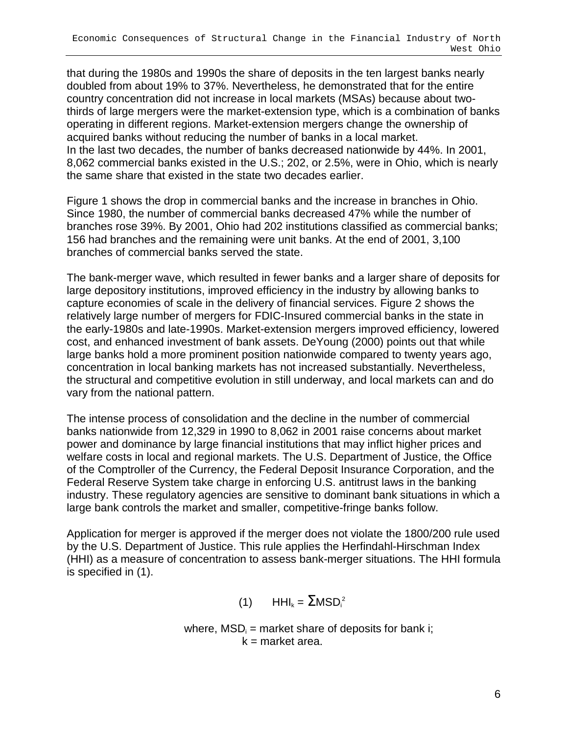that during the 1980s and 1990s the share of deposits in the ten largest banks nearly doubled from about 19% to 37%. Nevertheless, he demonstrated that for the entire country concentration did not increase in local markets (MSAs) because about twothirds of large mergers were the market-extension type, which is a combination of banks operating in different regions. Market-extension mergers change the ownership of acquired banks without reducing the number of banks in a local market. In the last two decades, the number of banks decreased nationwide by 44%. In 2001, 8,062 commercial banks existed in the U.S.; 202, or 2.5%, were in Ohio, which is nearly the same share that existed in the state two decades earlier.

Figure 1 shows the drop in commercial banks and the increase in branches in Ohio. Since 1980, the number of commercial banks decreased 47% while the number of branches rose 39%. By 2001, Ohio had 202 institutions classified as commercial banks; 156 had branches and the remaining were unit banks. At the end of 2001, 3,100 branches of commercial banks served the state.

The bank-merger wave, which resulted in fewer banks and a larger share of deposits for large depository institutions, improved efficiency in the industry by allowing banks to capture economies of scale in the delivery of financial services. Figure 2 shows the relatively large number of mergers for FDIC-Insured commercial banks in the state in the early-1980s and late-1990s. Market-extension mergers improved efficiency, lowered cost, and enhanced investment of bank assets. DeYoung (2000) points out that while large banks hold a more prominent position nationwide compared to twenty years ago, concentration in local banking markets has not increased substantially. Nevertheless, the structural and competitive evolution in still underway, and local markets can and do vary from the national pattern.

The intense process of consolidation and the decline in the number of commercial banks nationwide from 12,329 in 1990 to 8,062 in 2001 raise concerns about market power and dominance by large financial institutions that may inflict higher prices and welfare costs in local and regional markets. The U.S. Department of Justice, the Office of the Comptroller of the Currency, the Federal Deposit Insurance Corporation, and the Federal Reserve System take charge in enforcing U.S. antitrust laws in the banking industry. These regulatory agencies are sensitive to dominant bank situations in which a large bank controls the market and smaller, competitive-fringe banks follow.

Application for merger is approved if the merger does not violate the 1800/200 rule used by the U.S. Department of Justice. This rule applies the Herfindahl-Hirschman Index (HHI) as a measure of concentration to assess bank-merger situations. The HHI formula is specified in (1).

(1)  $HHI_k = \sum MSD_i^2$ 

where,  $MSD_i$  = market share of deposits for bank i;  $k =$  market area.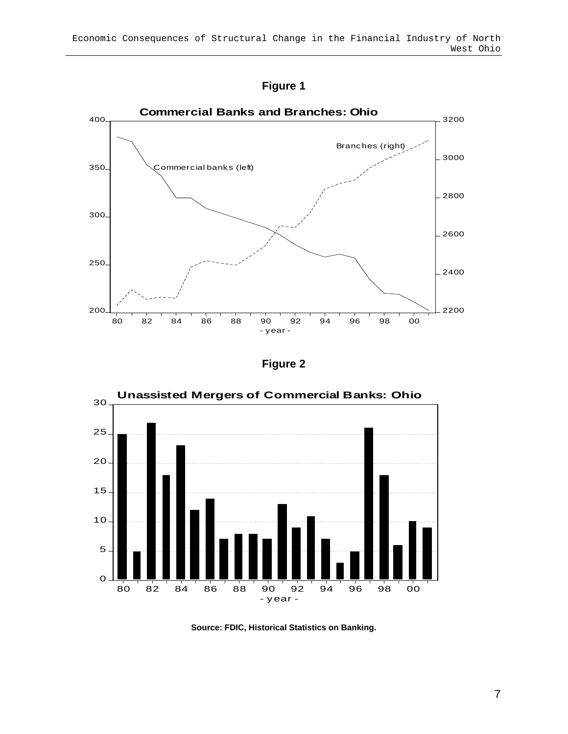



**Figure 2** 



**Source: FDIC, Historical Statistics on Banking.**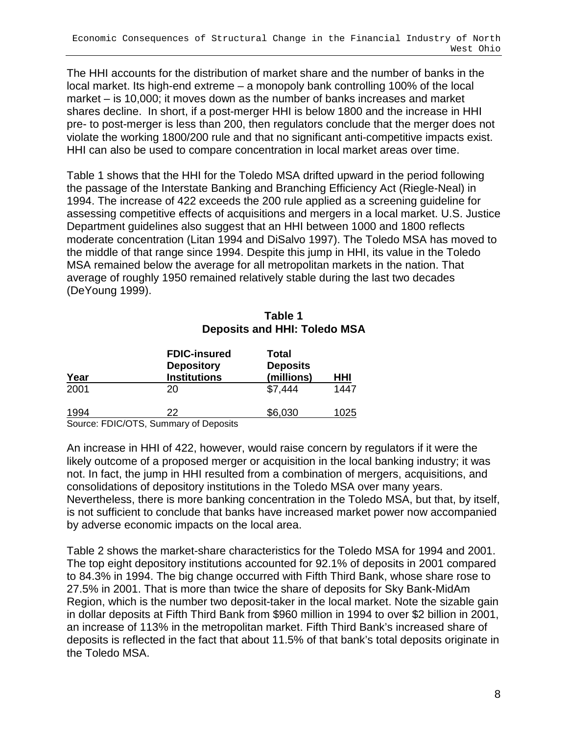The HHI accounts for the distribution of market share and the number of banks in the local market. Its high-end extreme – a monopoly bank controlling 100% of the local market – is 10,000; it moves down as the number of banks increases and market shares decline. In short, if a post-merger HHI is below 1800 and the increase in HHI pre- to post-merger is less than 200, then regulators conclude that the merger does not violate the working 1800/200 rule and that no significant anti-competitive impacts exist. HHI can also be used to compare concentration in local market areas over time.

Table 1 shows that the HHI for the Toledo MSA drifted upward in the period following the passage of the Interstate Banking and Branching Efficiency Act (Riegle-Neal) in 1994. The increase of 422 exceeds the 200 rule applied as a screening guideline for assessing competitive effects of acquisitions and mergers in a local market. U.S. Justice Department guidelines also suggest that an HHI between 1000 and 1800 reflects moderate concentration (Litan 1994 and DiSalvo 1997). The Toledo MSA has moved to the middle of that range since 1994. Despite this jump in HHI, its value in the Toledo MSA remained below the average for all metropolitan markets in the nation. That average of roughly 1950 remained relatively stable during the last two decades (DeYoung 1999).

|      |                                                                 | Deposits and HHI: Toledo MSA           |      |  |  |
|------|-----------------------------------------------------------------|----------------------------------------|------|--|--|
| Year | <b>FDIC-insured</b><br><b>Depository</b><br><b>Institutions</b> | Total<br><b>Deposits</b><br>(millions) | HHI  |  |  |
| 2001 | 20                                                              | \$7,444                                | 1447 |  |  |
| 1994 | 22                                                              | \$6,030                                | 1025 |  |  |

### **Table 1 Deposits and HHI: Toledo MSA**

Source: FDIC/OTS, Summary of Deposits

An increase in HHI of 422, however, would raise concern by regulators if it were the likely outcome of a proposed merger or acquisition in the local banking industry; it was not. In fact, the jump in HHI resulted from a combination of mergers, acquisitions, and consolidations of depository institutions in the Toledo MSA over many years. Nevertheless, there is more banking concentration in the Toledo MSA, but that, by itself, is not sufficient to conclude that banks have increased market power now accompanied by adverse economic impacts on the local area.

Table 2 shows the market-share characteristics for the Toledo MSA for 1994 and 2001. The top eight depository institutions accounted for 92.1% of deposits in 2001 compared to 84.3% in 1994. The big change occurred with Fifth Third Bank, whose share rose to 27.5% in 2001. That is more than twice the share of deposits for Sky Bank-MidAm Region, which is the number two deposit-taker in the local market. Note the sizable gain in dollar deposits at Fifth Third Bank from \$960 million in 1994 to over \$2 billion in 2001, an increase of 113% in the metropolitan market. Fifth Third Bank's increased share of deposits is reflected in the fact that about 11.5% of that bank's total deposits originate in the Toledo MSA.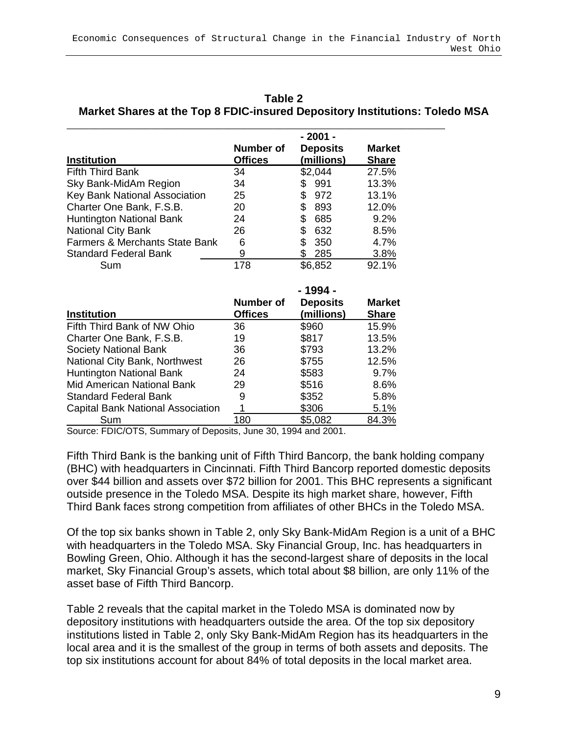| Table 2                                                                     |
|-----------------------------------------------------------------------------|
| Market Shares at the Top 8 FDIC-insured Depository Institutions: Toledo MSA |

| <b>Institution</b>                        | <b>Number of</b><br><b>Offices</b> | $-2001 -$<br><b>Deposits</b><br>(millions) | <b>Market</b><br><b>Share</b> |
|-------------------------------------------|------------------------------------|--------------------------------------------|-------------------------------|
| <b>Fifth Third Bank</b>                   | 34                                 | \$2,044                                    | 27.5%                         |
| Sky Bank-MidAm Region                     | 34                                 | 991<br>S.                                  | 13.3%                         |
| Key Bank National Association             | 25                                 | \$<br>972                                  | 13.1%                         |
| Charter One Bank, F.S.B.                  | 20                                 | \$<br>893                                  | 12.0%                         |
| <b>Huntington National Bank</b>           | 24                                 | \$<br>685                                  | 9.2%                          |
| <b>National City Bank</b>                 | 26                                 | 632<br>S                                   | 8.5%                          |
| <b>Farmers &amp; Merchants State Bank</b> | 6                                  | 350<br>\$                                  | 4.7%                          |
| <b>Standard Federal Bank</b>              | 9                                  | 285                                        | 3.8%                          |
| Sum                                       | 178                                | \$6,852                                    | 92.1%                         |

|                                          |                  | - 1994 -        |               |
|------------------------------------------|------------------|-----------------|---------------|
|                                          | <b>Number of</b> | <b>Deposits</b> | <b>Market</b> |
| <b>Institution</b>                       | <b>Offices</b>   | (millions)      | <b>Share</b>  |
| Fifth Third Bank of NW Ohio              | 36               | \$960           | 15.9%         |
| Charter One Bank, F.S.B.                 | 19               | \$817           | 13.5%         |
| <b>Society National Bank</b>             | 36               | \$793           | 13.2%         |
| National City Bank, Northwest            | 26               | \$755           | 12.5%         |
| <b>Huntington National Bank</b>          | 24               | \$583           | 9.7%          |
| Mid American National Bank               | 29               | \$516           | 8.6%          |
| <b>Standard Federal Bank</b>             | 9                | \$352           | 5.8%          |
| <b>Capital Bank National Association</b> |                  | \$306           | 5.1%          |
| Sum                                      | 180              | \$5,082         | 84.3%         |

Source: FDIC/OTS, Summary of Deposits, June 30, 1994 and 2001.

Fifth Third Bank is the banking unit of Fifth Third Bancorp, the bank holding company (BHC) with headquarters in Cincinnati. Fifth Third Bancorp reported domestic deposits over \$44 billion and assets over \$72 billion for 2001. This BHC represents a significant outside presence in the Toledo MSA. Despite its high market share, however, Fifth Third Bank faces strong competition from affiliates of other BHCs in the Toledo MSA.

Of the top six banks shown in Table 2, only Sky Bank-MidAm Region is a unit of a BHC with headquarters in the Toledo MSA. Sky Financial Group, Inc. has headquarters in Bowling Green, Ohio. Although it has the second-largest share of deposits in the local market, Sky Financial Group's assets, which total about \$8 billion, are only 11% of the asset base of Fifth Third Bancorp.

Table 2 reveals that the capital market in the Toledo MSA is dominated now by depository institutions with headquarters outside the area. Of the top six depository institutions listed in Table 2, only Sky Bank-MidAm Region has its headquarters in the local area and it is the smallest of the group in terms of both assets and deposits. The top six institutions account for about 84% of total deposits in the local market area.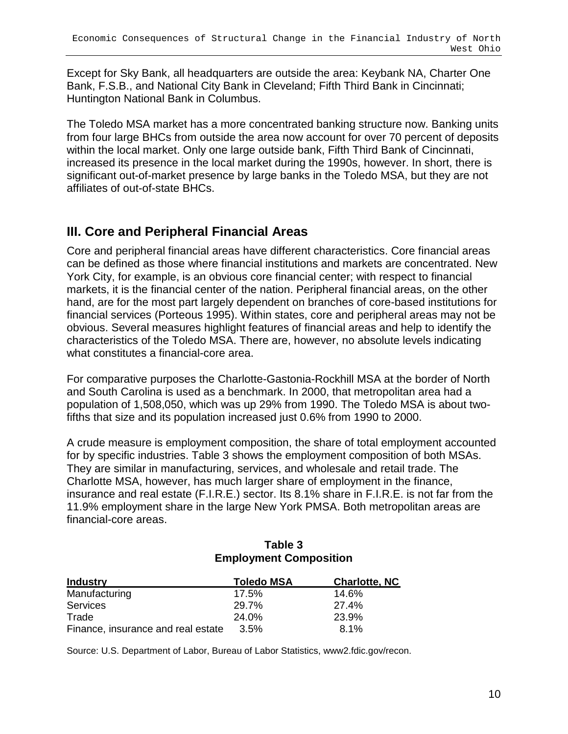Except for Sky Bank, all headquarters are outside the area: Keybank NA, Charter One Bank, F.S.B., and National City Bank in Cleveland; Fifth Third Bank in Cincinnati; Huntington National Bank in Columbus.

The Toledo MSA market has a more concentrated banking structure now. Banking units from four large BHCs from outside the area now account for over 70 percent of deposits within the local market. Only one large outside bank, Fifth Third Bank of Cincinnati, increased its presence in the local market during the 1990s, however. In short, there is significant out-of-market presence by large banks in the Toledo MSA, but they are not affiliates of out-of-state BHCs.

### **III. Core and Peripheral Financial Areas**

Core and peripheral financial areas have different characteristics. Core financial areas can be defined as those where financial institutions and markets are concentrated. New York City, for example, is an obvious core financial center; with respect to financial markets, it is the financial center of the nation. Peripheral financial areas, on the other hand, are for the most part largely dependent on branches of core-based institutions for financial services (Porteous 1995). Within states, core and peripheral areas may not be obvious. Several measures highlight features of financial areas and help to identify the characteristics of the Toledo MSA. There are, however, no absolute levels indicating what constitutes a financial-core area.

For comparative purposes the Charlotte-Gastonia-Rockhill MSA at the border of North and South Carolina is used as a benchmark. In 2000, that metropolitan area had a population of 1,508,050, which was up 29% from 1990. The Toledo MSA is about twofifths that size and its population increased just 0.6% from 1990 to 2000.

A crude measure is employment composition, the share of total employment accounted for by specific industries. Table 3 shows the employment composition of both MSAs. They are similar in manufacturing, services, and wholesale and retail trade. The Charlotte MSA, however, has much larger share of employment in the finance, insurance and real estate (F.I.R.E.) sector. Its 8.1% share in F.I.R.E. is not far from the 11.9% employment share in the large New York PMSA. Both metropolitan areas are financial-core areas.

### **Table 3 Employment Composition**

| <b>Industry</b>                    | <b>Toledo MSA</b> | <b>Charlotte, NC</b> |
|------------------------------------|-------------------|----------------------|
| Manufacturing                      | 17.5%             | 14.6%                |
| <b>Services</b>                    | 29.7%             | 27.4%                |
| Trade                              | 24.0%             | 23.9%                |
| Finance, insurance and real estate | 3.5%              | $8.1\%$              |

Source: U.S. Department of Labor, Bureau of Labor Statistics, www2.fdic.gov/recon.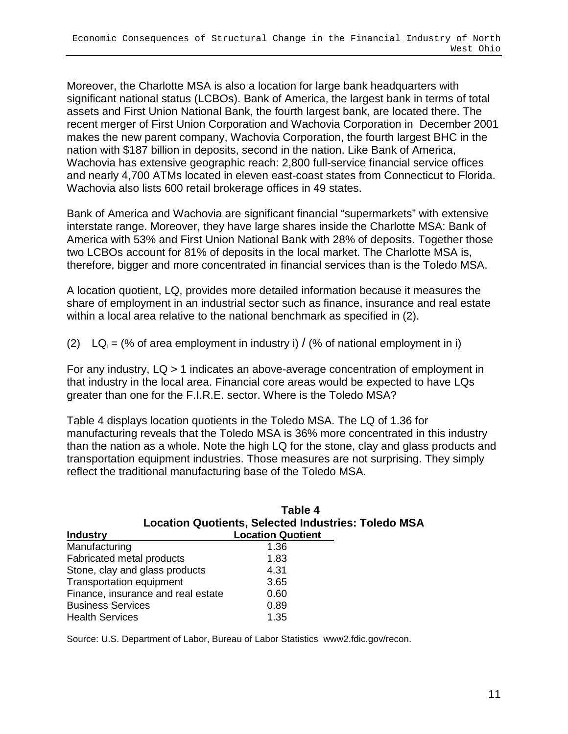Moreover, the Charlotte MSA is also a location for large bank headquarters with significant national status (LCBOs). Bank of America, the largest bank in terms of total assets and First Union National Bank, the fourth largest bank, are located there. The recent merger of First Union Corporation and Wachovia Corporation in December 2001 makes the new parent company, Wachovia Corporation, the fourth largest BHC in the nation with \$187 billion in deposits, second in the nation. Like Bank of America, Wachovia has extensive geographic reach: 2,800 full-service financial service offices and nearly 4,700 ATMs located in eleven east-coast states from Connecticut to Florida. Wachovia also lists 600 retail brokerage offices in 49 states.

Bank of America and Wachovia are significant financial "supermarkets" with extensive interstate range. Moreover, they have large shares inside the Charlotte MSA: Bank of America with 53% and First Union National Bank with 28% of deposits. Together those two LCBOs account for 81% of deposits in the local market. The Charlotte MSA is, therefore, bigger and more concentrated in financial services than is the Toledo MSA.

A location quotient, LQ, provides more detailed information because it measures the share of employment in an industrial sector such as finance, insurance and real estate within a local area relative to the national benchmark as specified in (2).

(2)  $LQ_i =$  (% of area employment in industry i) / (% of national employment in i)

For any industry, LQ > 1 indicates an above-average concentration of employment in that industry in the local area. Financial core areas would be expected to have LQs greater than one for the F.I.R.E. sector. Where is the Toledo MSA?

Table 4 displays location quotients in the Toledo MSA. The LQ of 1.36 for manufacturing reveals that the Toledo MSA is 36% more concentrated in this industry than the nation as a whole. Note the high LQ for the stone, clay and glass products and transportation equipment industries. Those measures are not surprising. They simply reflect the traditional manufacturing base of the Toledo MSA.

| Table 4<br><b>Location Quotients, Selected Industries: Toledo MSA</b> |                          |  |  |
|-----------------------------------------------------------------------|--------------------------|--|--|
| <b>Industry</b>                                                       | <b>Location Quotient</b> |  |  |
| Manufacturing                                                         | 1.36                     |  |  |
| Fabricated metal products                                             | 1.83                     |  |  |
| Stone, clay and glass products                                        | 4.31                     |  |  |
| <b>Transportation equipment</b>                                       | 3.65                     |  |  |
| Finance, insurance and real estate                                    | 0.60                     |  |  |
| <b>Business Services</b>                                              | 0.89                     |  |  |
| <b>Health Services</b>                                                | 1.35                     |  |  |

Source: U.S. Department of Labor, Bureau of Labor Statistics www2.fdic.gov/recon.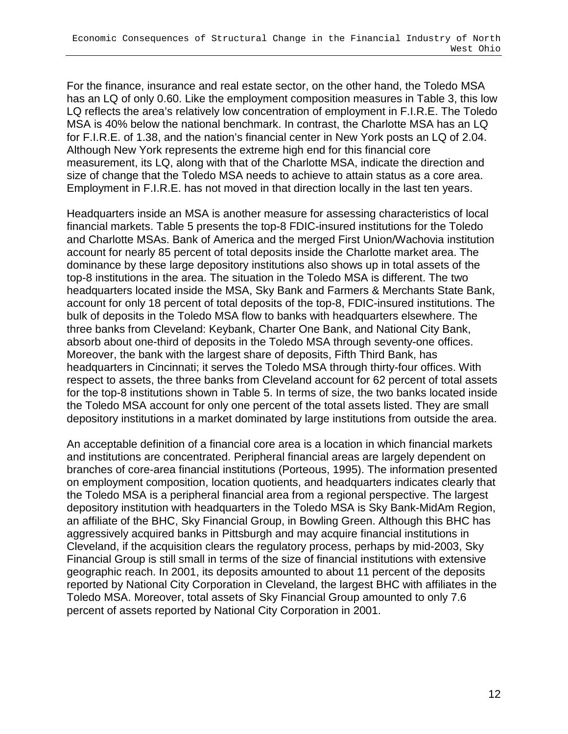For the finance, insurance and real estate sector, on the other hand, the Toledo MSA has an LQ of only 0.60. Like the employment composition measures in Table 3, this low LQ reflects the area's relatively low concentration of employment in F.I.R.E. The Toledo MSA is 40% below the national benchmark. In contrast, the Charlotte MSA has an LQ for F.I.R.E. of 1.38, and the nation's financial center in New York posts an LQ of 2.04. Although New York represents the extreme high end for this financial core measurement, its LQ, along with that of the Charlotte MSA, indicate the direction and size of change that the Toledo MSA needs to achieve to attain status as a core area. Employment in F.I.R.E. has not moved in that direction locally in the last ten years.

Headquarters inside an MSA is another measure for assessing characteristics of local financial markets. Table 5 presents the top-8 FDIC-insured institutions for the Toledo and Charlotte MSAs. Bank of America and the merged First Union/Wachovia institution account for nearly 85 percent of total deposits inside the Charlotte market area. The dominance by these large depository institutions also shows up in total assets of the top-8 institutions in the area. The situation in the Toledo MSA is different. The two headquarters located inside the MSA, Sky Bank and Farmers & Merchants State Bank, account for only 18 percent of total deposits of the top-8, FDIC-insured institutions. The bulk of deposits in the Toledo MSA flow to banks with headquarters elsewhere. The three banks from Cleveland: Keybank, Charter One Bank, and National City Bank, absorb about one-third of deposits in the Toledo MSA through seventy-one offices. Moreover, the bank with the largest share of deposits, Fifth Third Bank, has headquarters in Cincinnati; it serves the Toledo MSA through thirty-four offices. With respect to assets, the three banks from Cleveland account for 62 percent of total assets for the top-8 institutions shown in Table 5. In terms of size, the two banks located inside the Toledo MSA account for only one percent of the total assets listed. They are small depository institutions in a market dominated by large institutions from outside the area.

An acceptable definition of a financial core area is a location in which financial markets and institutions are concentrated. Peripheral financial areas are largely dependent on branches of core-area financial institutions (Porteous, 1995). The information presented on employment composition, location quotients, and headquarters indicates clearly that the Toledo MSA is a peripheral financial area from a regional perspective. The largest depository institution with headquarters in the Toledo MSA is Sky Bank-MidAm Region, an affiliate of the BHC, Sky Financial Group, in Bowling Green. Although this BHC has aggressively acquired banks in Pittsburgh and may acquire financial institutions in Cleveland, if the acquisition clears the regulatory process, perhaps by mid-2003, Sky Financial Group is still small in terms of the size of financial institutions with extensive geographic reach. In 2001, its deposits amounted to about 11 percent of the deposits reported by National City Corporation in Cleveland, the largest BHC with affiliates in the Toledo MSA. Moreover, total assets of Sky Financial Group amounted to only 7.6 percent of assets reported by National City Corporation in 2001.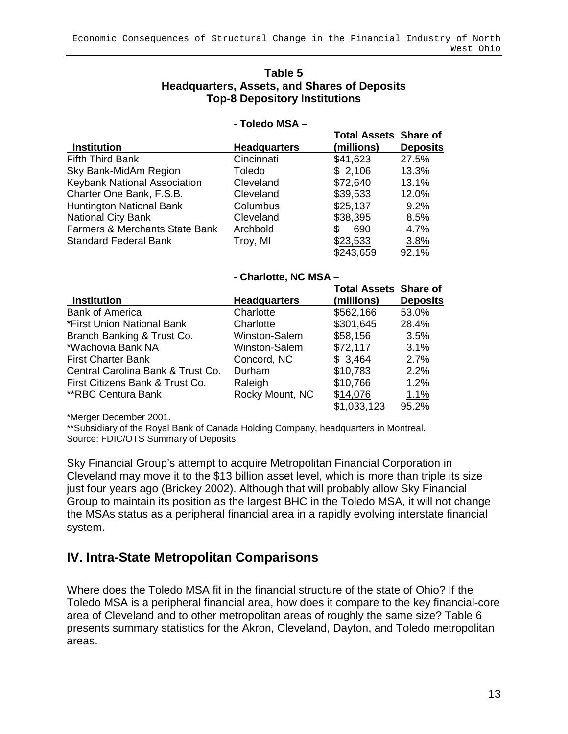### **Table 5 Headquarters, Assets, and Shares of Deposits Top-8 Depository Institutions**

#### **- Toledo MSA –**

|                                           |                     | <b>Total Assets Share of</b> |                 |
|-------------------------------------------|---------------------|------------------------------|-----------------|
| <b>Institution</b>                        | <b>Headquarters</b> | (millions)                   | <b>Deposits</b> |
| Fifth Third Bank                          | Cincinnati          | \$41,623                     | 27.5%           |
| Sky Bank-MidAm Region                     | Toledo              | \$2,106                      | 13.3%           |
| Keybank National Association              | Cleveland           | \$72,640                     | 13.1%           |
| Charter One Bank, F.S.B.                  | Cleveland           | \$39,533                     | 12.0%           |
| <b>Huntington National Bank</b>           | Columbus            | \$25,137                     | 9.2%            |
| <b>National City Bank</b>                 | Cleveland           | \$38,395                     | 8.5%            |
| <b>Farmers &amp; Merchants State Bank</b> | Archbold            | 690<br>\$                    | 4.7%            |
| <b>Standard Federal Bank</b>              | Troy, MI            | \$23,533                     | 3.8%            |
|                                           |                     | \$243,659                    | 92.1%           |

### **- Charlotte, NC MSA –**

| <b>Institution</b>                | <b>Headquarters</b> | <b>Total Assets Share of</b><br>(millions) | <b>Deposits</b> |
|-----------------------------------|---------------------|--------------------------------------------|-----------------|
| <b>Bank of America</b>            | Charlotte           | \$562,166                                  | 53.0%           |
| *First Union National Bank        | Charlotte           | \$301,645                                  | 28.4%           |
| Branch Banking & Trust Co.        | Winston-Salem       | \$58,156                                   | 3.5%            |
| *Wachovia Bank NA                 | Winston-Salem       | \$72,117                                   | 3.1%            |
| <b>First Charter Bank</b>         | Concord, NC         | \$3,464                                    | 2.7%            |
| Central Carolina Bank & Trust Co. | Durham              | \$10,783                                   | 2.2%            |
| First Citizens Bank & Trust Co.   | Raleigh             | \$10,766                                   | 1.2%            |
| **RBC Centura Bank                | Rocky Mount, NC     | \$14,076                                   | 1.1%            |
|                                   |                     | \$1,033,123                                | 95.2%           |

\*Merger December 2001.

\*\*Subsidiary of the Royal Bank of Canada Holding Company, headquarters in Montreal. Source: FDIC/OTS Summary of Deposits.

Sky Financial Group's attempt to acquire Metropolitan Financial Corporation in Cleveland may move it to the \$13 billion asset level, which is more than triple its size just four years ago (Brickey 2002). Although that will probably allow Sky Financial Group to maintain its position as the largest BHC in the Toledo MSA, it will not change the MSAs status as a peripheral financial area in a rapidly evolving interstate financial system.

### **IV. Intra-State Metropolitan Comparisons**

Where does the Toledo MSA fit in the financial structure of the state of Ohio? If the Toledo MSA is a peripheral financial area, how does it compare to the key financial-core area of Cleveland and to other metropolitan areas of roughly the same size? Table 6 presents summary statistics for the Akron, Cleveland, Dayton, and Toledo metropolitan areas.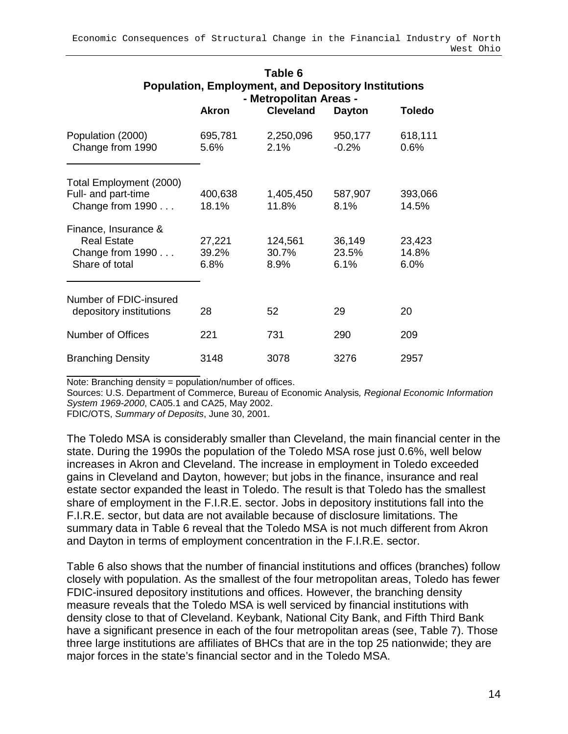| Table 6<br><b>Population, Employment, and Depository Institutions</b><br>- Metropolitan Areas - |                         |                          |                         |                         |  |
|-------------------------------------------------------------------------------------------------|-------------------------|--------------------------|-------------------------|-------------------------|--|
|                                                                                                 | <b>Akron</b>            | <b>Cleveland</b>         | <b>Dayton</b>           | <b>Toledo</b>           |  |
| Population (2000)<br>Change from 1990                                                           | 695,781<br>5.6%         | 2,250,096<br>2.1%        | 950,177<br>$-0.2%$      | 618,111<br>0.6%         |  |
| Total Employment (2000)<br>Full- and part-time<br>Change from 1990                              | 400,638<br>18.1%        | 1,405,450<br>11.8%       | 587,907<br>8.1%         | 393,066<br>14.5%        |  |
| Finance, Insurance &<br><b>Real Estate</b><br>Change from 1990<br>Share of total                | 27,221<br>39.2%<br>6.8% | 124,561<br>30.7%<br>8.9% | 36,149<br>23.5%<br>6.1% | 23,423<br>14.8%<br>6.0% |  |
| Number of FDIC-insured<br>depository institutions                                               | 28                      | 52                       | 29                      | 20                      |  |
| Number of Offices                                                                               | 221                     | 731                      | 290                     | 209                     |  |
| <b>Branching Density</b>                                                                        | 3148                    | 3078                     | 3276                    | 2957                    |  |

Note: Branching density = population/number of offices.

Sources: U.S. Department of Commerce, Bureau of Economic Analysis, Regional Economic Information System 1969-2000, CA05.1 and CA25, May 2002.

FDIC/OTS, Summary of Deposits, June 30, 2001.

The Toledo MSA is considerably smaller than Cleveland, the main financial center in the state. During the 1990s the population of the Toledo MSA rose just 0.6%, well below increases in Akron and Cleveland. The increase in employment in Toledo exceeded gains in Cleveland and Dayton, however; but jobs in the finance, insurance and real estate sector expanded the least in Toledo. The result is that Toledo has the smallest share of employment in the F.I.R.E. sector. Jobs in depository institutions fall into the F.I.R.E. sector, but data are not available because of disclosure limitations. The summary data in Table 6 reveal that the Toledo MSA is not much different from Akron and Dayton in terms of employment concentration in the F.I.R.E. sector.

Table 6 also shows that the number of financial institutions and offices (branches) follow closely with population. As the smallest of the four metropolitan areas, Toledo has fewer FDIC-insured depository institutions and offices. However, the branching density measure reveals that the Toledo MSA is well serviced by financial institutions with density close to that of Cleveland. Keybank, National City Bank, and Fifth Third Bank have a significant presence in each of the four metropolitan areas (see, Table 7). Those three large institutions are affiliates of BHCs that are in the top 25 nationwide; they are major forces in the state's financial sector and in the Toledo MSA.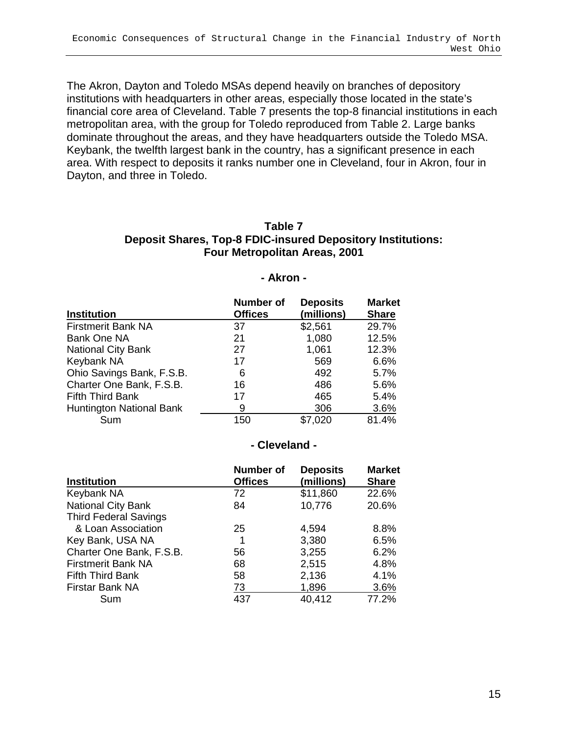The Akron, Dayton and Toledo MSAs depend heavily on branches of depository institutions with headquarters in other areas, especially those located in the state's financial core area of Cleveland. Table 7 presents the top-8 financial institutions in each metropolitan area, with the group for Toledo reproduced from Table 2. Large banks dominate throughout the areas, and they have headquarters outside the Toledo MSA. Keybank, the twelfth largest bank in the country, has a significant presence in each area. With respect to deposits it ranks number one in Cleveland, four in Akron, four in Dayton, and three in Toledo.

### **Table 7 Deposit Shares, Top-8 FDIC-insured Depository Institutions: Four Metropolitan Areas, 2001**

#### **- Akron -**

| <b>Institution</b>              | <b>Number of</b><br><b>Offices</b> | <b>Deposits</b><br>(millions) | <b>Market</b><br><b>Share</b> |
|---------------------------------|------------------------------------|-------------------------------|-------------------------------|
| <b>Firstmerit Bank NA</b>       | 37                                 | \$2,561                       | 29.7%                         |
| Bank One NA                     | 21                                 | 1,080                         | 12.5%                         |
| <b>National City Bank</b>       | 27                                 | 1,061                         | 12.3%                         |
| Keybank NA                      | 17                                 | 569                           | 6.6%                          |
| Ohio Savings Bank, F.S.B.       | 6                                  | 492                           | 5.7%                          |
| Charter One Bank, F.S.B.        | 16                                 | 486                           | 5.6%                          |
| <b>Fifth Third Bank</b>         | 17                                 | 465                           | 5.4%                          |
| <b>Huntington National Bank</b> | 9                                  | 306                           | 3.6%                          |
| Sum                             | 150                                | \$7,020                       | 81.4%                         |

### **- Cleveland -**

| <b>Institution</b>           | <b>Number of</b><br><b>Offices</b> | <b>Deposits</b><br>(millions) | <b>Market</b><br><b>Share</b> |
|------------------------------|------------------------------------|-------------------------------|-------------------------------|
| Keybank NA                   | 72                                 | \$11,860                      | 22.6%                         |
| <b>National City Bank</b>    | 84                                 | 10,776                        | 20.6%                         |
| <b>Third Federal Savings</b> |                                    |                               |                               |
| & Loan Association           | 25                                 | 4,594                         | 8.8%                          |
| Key Bank, USA NA             | 1                                  | 3,380                         | 6.5%                          |
| Charter One Bank, F.S.B.     | 56                                 | 3,255                         | 6.2%                          |
| <b>Firstmerit Bank NA</b>    | 68                                 | 2,515                         | 4.8%                          |
| <b>Fifth Third Bank</b>      | 58                                 | 2,136                         | 4.1%                          |
| Firstar Bank NA              | 73                                 | 1,896                         | 3.6%                          |
| Sum                          | 437                                | 40,412                        | 77.2%                         |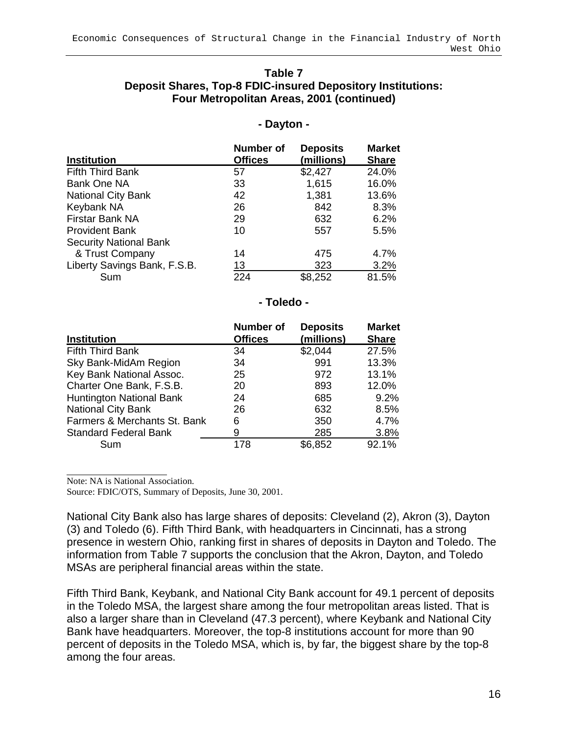### **Table 7 Deposit Shares, Top-8 FDIC-insured Depository Institutions: Four Metropolitan Areas, 2001 (continued)**

### **- Dayton -**

| <b>Institution</b>            | <b>Number of</b><br><b>Offices</b> | <b>Deposits</b><br>(millions) | <b>Market</b><br><b>Share</b> |
|-------------------------------|------------------------------------|-------------------------------|-------------------------------|
| <b>Fifth Third Bank</b>       | 57                                 | \$2,427                       | 24.0%                         |
| Bank One NA                   | 33                                 | 1,615                         | 16.0%                         |
| <b>National City Bank</b>     | 42                                 | 1,381                         | 13.6%                         |
| Keybank NA                    | 26                                 | 842                           | 8.3%                          |
| Firstar Bank NA               | 29                                 | 632                           | 6.2%                          |
| <b>Provident Bank</b>         | 10                                 | 557                           | 5.5%                          |
| <b>Security National Bank</b> |                                    |                               |                               |
| & Trust Company               | 14                                 | 475                           | 4.7%                          |
| Liberty Savings Bank, F.S.B.  | 13                                 | 323                           | 3.2%                          |
| Sum                           | 224                                | \$8,252                       | 81.5%                         |

#### **- Toledo -**

|                                 | <b>Number of</b> | <b>Deposits</b> | <b>Market</b> |
|---------------------------------|------------------|-----------------|---------------|
| <b>Institution</b>              | <b>Offices</b>   | (millions)      | <b>Share</b>  |
| <b>Fifth Third Bank</b>         | 34               | \$2,044         | 27.5%         |
| Sky Bank-MidAm Region           | 34               | 991             | 13.3%         |
| Key Bank National Assoc.        | 25               | 972             | 13.1%         |
| Charter One Bank, F.S.B.        | 20               | 893             | 12.0%         |
| <b>Huntington National Bank</b> | 24               | 685             | 9.2%          |
| <b>National City Bank</b>       | 26               | 632             | 8.5%          |
| Farmers & Merchants St. Bank    | 6                | 350             | 4.7%          |
| <b>Standard Federal Bank</b>    | 9                | 285             | 3.8%          |
| Sum                             | 178              | \$6,852         | 92.1%         |

 $\overline{a}$ Note: NA is National Association.

Source: FDIC/OTS, Summary of Deposits, June 30, 2001.

National City Bank also has large shares of deposits: Cleveland (2), Akron (3), Dayton (3) and Toledo (6). Fifth Third Bank, with headquarters in Cincinnati, has a strong presence in western Ohio, ranking first in shares of deposits in Dayton and Toledo. The information from Table 7 supports the conclusion that the Akron, Dayton, and Toledo MSAs are peripheral financial areas within the state.

Fifth Third Bank, Keybank, and National City Bank account for 49.1 percent of deposits in the Toledo MSA, the largest share among the four metropolitan areas listed. That is also a larger share than in Cleveland (47.3 percent), where Keybank and National City Bank have headquarters. Moreover, the top-8 institutions account for more than 90 percent of deposits in the Toledo MSA, which is, by far, the biggest share by the top-8 among the four areas.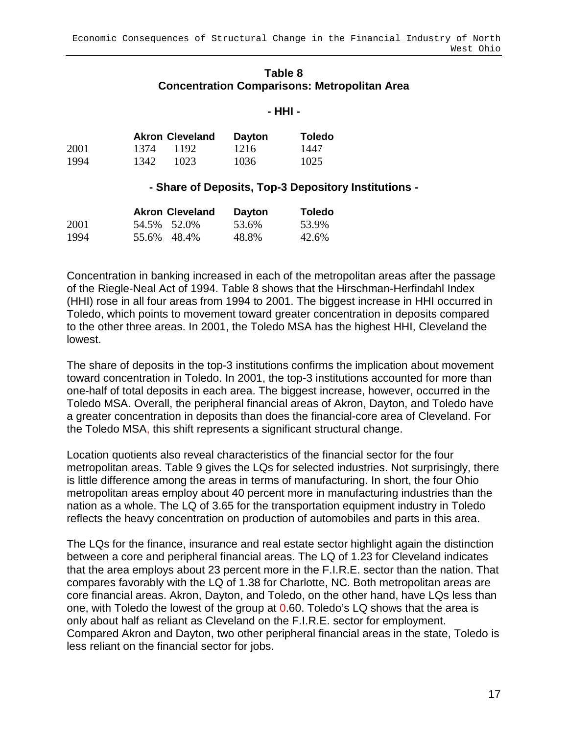### **Table 8 Concentration Comparisons: Metropolitan Area**

### **- HHI -**

|      |      | <b>Akron Cleveland</b> | <b>Dayton</b> | <b>Toledo</b> |
|------|------|------------------------|---------------|---------------|
| 2001 | 1374 | 1192                   | 1216          | 1447          |
| 1994 | 1342 | 1023                   | 1036          | 1025          |

### **- Share of Deposits, Top-3 Depository Institutions -**

|      | <b>Akron Cleveland</b> | <b>Dayton</b> | <b>Toledo</b> |
|------|------------------------|---------------|---------------|
| 2001 | 54.5% 52.0%            | 53.6%         | 53.9%         |
| 1994 | 55.6% 48.4%            | 48.8%         | 42.6%         |

Concentration in banking increased in each of the metropolitan areas after the passage of the Riegle-Neal Act of 1994. Table 8 shows that the Hirschman-Herfindahl Index (HHI) rose in all four areas from 1994 to 2001. The biggest increase in HHI occurred in Toledo, which points to movement toward greater concentration in deposits compared to the other three areas. In 2001, the Toledo MSA has the highest HHI, Cleveland the lowest.

The share of deposits in the top-3 institutions confirms the implication about movement toward concentration in Toledo. In 2001, the top-3 institutions accounted for more than one-half of total deposits in each area. The biggest increase, however, occurred in the Toledo MSA. Overall, the peripheral financial areas of Akron, Dayton, and Toledo have a greater concentration in deposits than does the financial-core area of Cleveland. For the Toledo MSA, this shift represents a significant structural change.

Location quotients also reveal characteristics of the financial sector for the four metropolitan areas. Table 9 gives the LQs for selected industries. Not surprisingly, there is little difference among the areas in terms of manufacturing. In short, the four Ohio metropolitan areas employ about 40 percent more in manufacturing industries than the nation as a whole. The LQ of 3.65 for the transportation equipment industry in Toledo reflects the heavy concentration on production of automobiles and parts in this area.

The LQs for the finance, insurance and real estate sector highlight again the distinction between a core and peripheral financial areas. The LQ of 1.23 for Cleveland indicates that the area employs about 23 percent more in the F.I.R.E. sector than the nation. That compares favorably with the LQ of 1.38 for Charlotte, NC. Both metropolitan areas are core financial areas. Akron, Dayton, and Toledo, on the other hand, have LQs less than one, with Toledo the lowest of the group at 0.60. Toledo's LQ shows that the area is only about half as reliant as Cleveland on the F.I.R.E. sector for employment. Compared Akron and Dayton, two other peripheral financial areas in the state, Toledo is less reliant on the financial sector for jobs.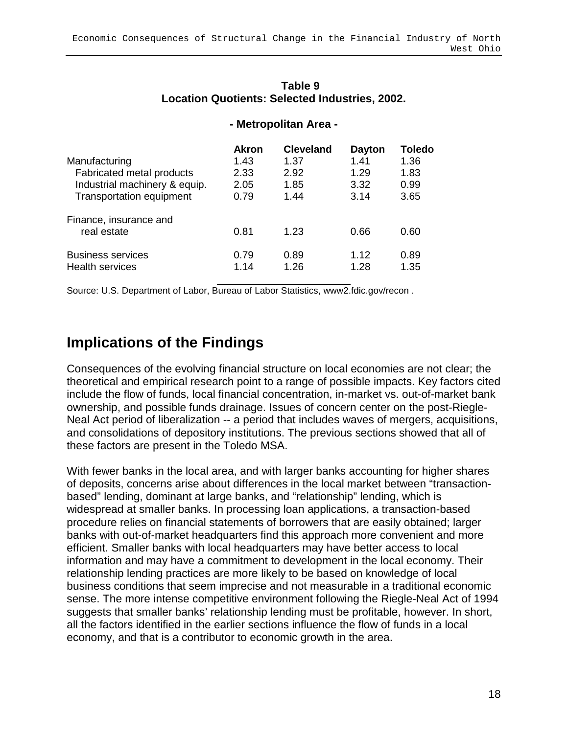|                                 | <b>Akron</b> | <b>Cleveland</b> | <b>Dayton</b> | Toledo |
|---------------------------------|--------------|------------------|---------------|--------|
| Manufacturing                   | 1.43         | 1.37             | 1.41          | 1.36   |
| Fabricated metal products       | 2.33         | 2.92             | 1.29          | 1.83   |
| Industrial machinery & equip.   | 2.05         | 1.85             | 3.32          | 0.99   |
| <b>Transportation equipment</b> | 0.79         | 1.44             | 3.14          | 3.65   |
| Finance, insurance and          |              |                  |               |        |
| real estate                     | 0.81         | 1.23             | 0.66          | 0.60   |
| <b>Business services</b>        | 0.79         | 0.89             | 1.12          | 0.89   |
| <b>Health services</b>          | 1.14         | 1.26             | 1.28          | 1.35   |
|                                 |              |                  |               |        |

### **Table 9 Location Quotients: Selected Industries, 2002.**

**- Metropolitan Area -** 

Source: U.S. Department of Labor, Bureau of Labor Statistics, www2.fdic.gov/recon .

## **Implications of the Findings**

Consequences of the evolving financial structure on local economies are not clear; the theoretical and empirical research point to a range of possible impacts. Key factors cited include the flow of funds, local financial concentration, in-market vs. out-of-market bank ownership, and possible funds drainage. Issues of concern center on the post-Riegle-Neal Act period of liberalization -- a period that includes waves of mergers, acquisitions, and consolidations of depository institutions. The previous sections showed that all of these factors are present in the Toledo MSA.

With fewer banks in the local area, and with larger banks accounting for higher shares of deposits, concerns arise about differences in the local market between "transactionbased" lending, dominant at large banks, and "relationship" lending, which is widespread at smaller banks. In processing loan applications, a transaction-based procedure relies on financial statements of borrowers that are easily obtained; larger banks with out-of-market headquarters find this approach more convenient and more efficient. Smaller banks with local headquarters may have better access to local information and may have a commitment to development in the local economy. Their relationship lending practices are more likely to be based on knowledge of local business conditions that seem imprecise and not measurable in a traditional economic sense. The more intense competitive environment following the Riegle-Neal Act of 1994 suggests that smaller banks' relationship lending must be profitable, however. In short, all the factors identified in the earlier sections influence the flow of funds in a local economy, and that is a contributor to economic growth in the area.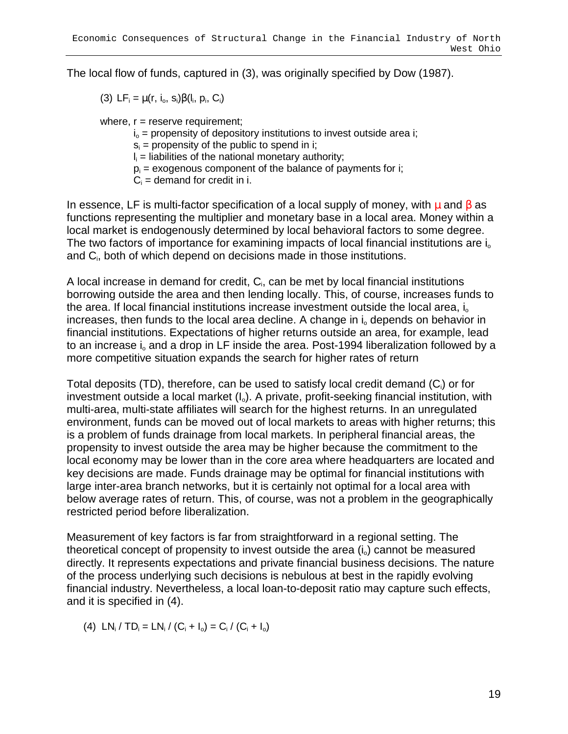The local flow of funds, captured in (3), was originally specified by Dow (1987).

(3)  $LF_i = \mu(r, i_o, s_i)\beta(l_i, p_i, C_i)$ 

where,  $r =$  reserve requirement;

- $i_0$  = propensity of depository institutions to invest outside area i;
- $s_i$  = propensity of the public to spend in i;

 $I_i$  = liabilities of the national monetary authority;

- $p_i$  = exogenous component of the balance of payments for i;
- $C_i$  = demand for credit in i.

In essence, LF is multi-factor specification of a local supply of money, with  $\mu$  and  $\beta$  as functions representing the multiplier and monetary base in a local area. Money within a local market is endogenously determined by local behavioral factors to some degree. The two factors of importance for examining impacts of local financial institutions are  $i_0$ and C<sub>i</sub>, both of which depend on decisions made in those institutions.

A local increase in demand for credit, C<sub>i</sub>, can be met by local financial institutions borrowing outside the area and then lending locally. This, of course, increases funds to the area. If local financial institutions increase investment outside the local area,  $i_0$ increases, then funds to the local area decline. A change in  $i<sub>o</sub>$  depends on behavior in financial institutions. Expectations of higher returns outside an area, for example, lead to an increase  $i_0$  and a drop in LF inside the area. Post-1994 liberalization followed by a more competitive situation expands the search for higher rates of return

Total deposits (TD), therefore, can be used to satisfy local credit demand  $(C_i)$  or for investment outside a local market  $(I_0)$ . A private, profit-seeking financial institution, with multi-area, multi-state affiliates will search for the highest returns. In an unregulated environment, funds can be moved out of local markets to areas with higher returns; this is a problem of funds drainage from local markets. In peripheral financial areas, the propensity to invest outside the area may be higher because the commitment to the local economy may be lower than in the core area where headquarters are located and key decisions are made. Funds drainage may be optimal for financial institutions with large inter-area branch networks, but it is certainly not optimal for a local area with below average rates of return. This, of course, was not a problem in the geographically restricted period before liberalization.

Measurement of key factors is far from straightforward in a regional setting. The theoretical concept of propensity to invest outside the area  $(i_0)$  cannot be measured directly. It represents expectations and private financial business decisions. The nature of the process underlying such decisions is nebulous at best in the rapidly evolving financial industry. Nevertheless, a local loan-to-deposit ratio may capture such effects, and it is specified in (4).

(4)  $LN_i / TD_i = LN_i / (C_i + I_o) = C_i / (C_i + I_o)$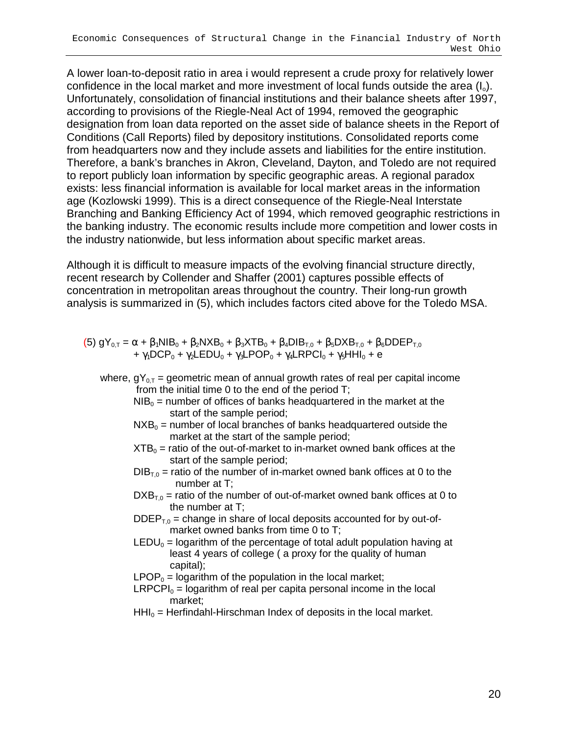A lower loan-to-deposit ratio in area i would represent a crude proxy for relatively lower confidence in the local market and more investment of local funds outside the area  $(I_0)$ . Unfortunately, consolidation of financial institutions and their balance sheets after 1997, according to provisions of the Riegle-Neal Act of 1994, removed the geographic designation from loan data reported on the asset side of balance sheets in the Report of Conditions (Call Reports) filed by depository institutions. Consolidated reports come from headquarters now and they include assets and liabilities for the entire institution. Therefore, a bank's branches in Akron, Cleveland, Dayton, and Toledo are not required to report publicly loan information by specific geographic areas. A regional paradox exists: less financial information is available for local market areas in the information age (Kozlowski 1999). This is a direct consequence of the Riegle-Neal Interstate Branching and Banking Efficiency Act of 1994, which removed geographic restrictions in the banking industry. The economic results include more competition and lower costs in the industry nationwide, but less information about specific market areas.

Although it is difficult to measure impacts of the evolving financial structure directly, recent research by Collender and Shaffer (2001) captures possible effects of concentration in metropolitan areas throughout the country. Their long-run growth analysis is summarized in (5), which includes factors cited above for the Toledo MSA.

- (5)  $gY_{0,T} = \alpha + \beta_1 NIB_0 + \beta_2 NXB_0 + \beta_3 XTB_0 + \beta_4 DIB_{T,0} + \beta_5 DXB_{T,0} + \beta_6 DDEF_{T,0}$ +  $\gamma_1$ DCP<sub>0</sub> +  $\gamma_2$ LEDU<sub>0</sub> +  $\gamma_3$ LPOP<sub>0</sub> +  $\gamma_4$ LRPCI<sub>0</sub> +  $\gamma_5$ HHI<sub>0</sub> + e
	- where,  $qY_{0T}$  = geometric mean of annual growth rates of real per capital income from the initial time 0 to the end of the period T;
		- $NIB<sub>0</sub>$  = number of offices of banks headquartered in the market at the start of the sample period;
		- $NXB<sub>0</sub>$  = number of local branches of banks headquartered outside the market at the start of the sample period;
		- $XTB<sub>0</sub>$  = ratio of the out-of-market to in-market owned bank offices at the start of the sample period;
		- $DIB<sub>T<sub>0</sub></sub>$  = ratio of the number of in-market owned bank offices at 0 to the number at T;
		- $DXB<sub>T,0</sub>$  = ratio of the number of out-of-market owned bank offices at 0 to the number at T;
		- $DDEF_{\tau_0}$  = change in share of local deposits accounted for by out-ofmarket owned banks from time 0 to T;
		- LEDU<sub>0</sub> = logarithm of the percentage of total adult population having at least 4 years of college ( a proxy for the quality of human capital);
		- $LPOP<sub>0</sub> = logarithm$  of the population in the local market;
		- $LRPCPI<sub>0</sub> = logarithm$  of real per capita personal income in the local market;
		- $HH<sub>0</sub>$  = Herfindahl-Hirschman Index of deposits in the local market.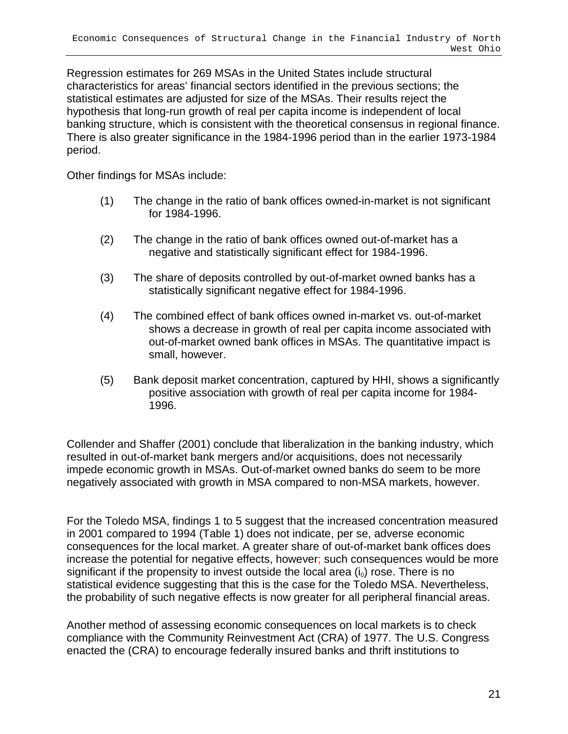Regression estimates for 269 MSAs in the United States include structural characteristics for areas' financial sectors identified in the previous sections; the statistical estimates are adjusted for size of the MSAs. Their results reject the hypothesis that long-run growth of real per capita income is independent of local banking structure, which is consistent with the theoretical consensus in regional finance. There is also greater significance in the 1984-1996 period than in the earlier 1973-1984 period.

Other findings for MSAs include:

- (1) The change in the ratio of bank offices owned-in-market is not significant for 1984-1996.
- (2) The change in the ratio of bank offices owned out-of-market has a negative and statistically significant effect for 1984-1996.
- (3) The share of deposits controlled by out-of-market owned banks has a statistically significant negative effect for 1984-1996.
- (4) The combined effect of bank offices owned in-market vs. out-of-market shows a decrease in growth of real per capita income associated with out-of-market owned bank offices in MSAs. The quantitative impact is small, however.
- (5) Bank deposit market concentration, captured by HHI, shows a significantly positive association with growth of real per capita income for 1984- 1996.

Collender and Shaffer (2001) conclude that liberalization in the banking industry, which resulted in out-of-market bank mergers and/or acquisitions, does not necessarily impede economic growth in MSAs. Out-of-market owned banks do seem to be more negatively associated with growth in MSA compared to non-MSA markets, however.

For the Toledo MSA, findings 1 to 5 suggest that the increased concentration measured in 2001 compared to 1994 (Table 1) does not indicate, per se, adverse economic consequences for the local market. A greater share of out-of-market bank offices does increase the potential for negative effects, however; such consequences would be more significant if the propensity to invest outside the local area  $(i<sub>0</sub>)$  rose. There is no statistical evidence suggesting that this is the case for the Toledo MSA. Nevertheless, the probability of such negative effects is now greater for all peripheral financial areas.

Another method of assessing economic consequences on local markets is to check compliance with the Community Reinvestment Act (CRA) of 1977. The U.S. Congress enacted the (CRA) to encourage federally insured banks and thrift institutions to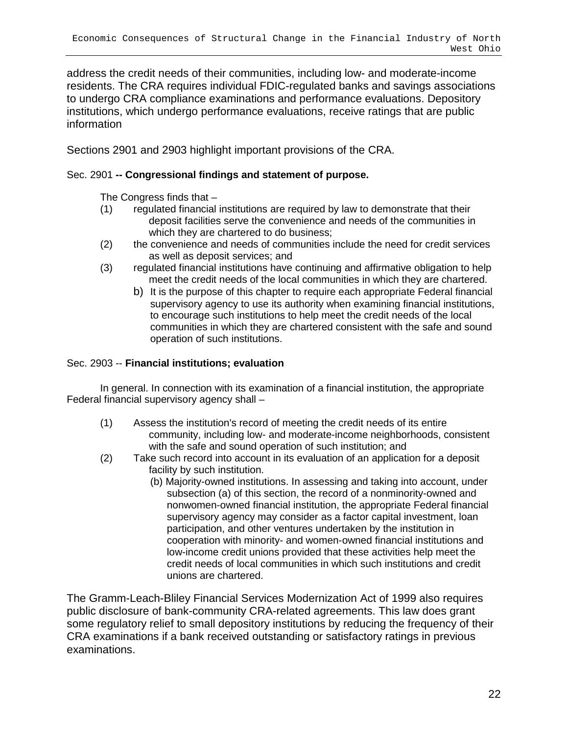address the credit needs of their communities, including low- and moderate-income residents. The CRA requires individual FDIC-regulated banks and savings associations to undergo CRA compliance examinations and performance evaluations. Depository institutions, which undergo performance evaluations, receive ratings that are public information

Sections 2901 and 2903 highlight important provisions of the CRA.

### Sec. 2901 **-- Congressional findings and statement of purpose.**

The Congress finds that –

- (1) regulated financial institutions are required by law to demonstrate that their deposit facilities serve the convenience and needs of the communities in which they are chartered to do business;
- (2) the convenience and needs of communities include the need for credit services as well as deposit services; and
- (3) regulated financial institutions have continuing and affirmative obligation to help meet the credit needs of the local communities in which they are chartered.
	- b) It is the purpose of this chapter to require each appropriate Federal financial supervisory agency to use its authority when examining financial institutions, to encourage such institutions to help meet the credit needs of the local communities in which they are chartered consistent with the safe and sound operation of such institutions.

### Sec. 2903 -- **Financial institutions; evaluation**

In general. In connection with its examination of a financial institution, the appropriate Federal financial supervisory agency shall –

- (1) Assess the institution's record of meeting the credit needs of its entire community, including low- and moderate-income neighborhoods, consistent with the safe and sound operation of such institution; and
- (2) Take such record into account in its evaluation of an application for a deposit facility by such institution.
	- (b) Majority-owned institutions. In assessing and taking into account, under subsection (a) of this section, the record of a nonminority-owned and nonwomen-owned financial institution, the appropriate Federal financial supervisory agency may consider as a factor capital investment, loan participation, and other ventures undertaken by the institution in cooperation with minority- and women-owned financial institutions and low-income credit unions provided that these activities help meet the credit needs of local communities in which such institutions and credit unions are chartered.

The Gramm-Leach-Bliley Financial Services Modernization Act of 1999 also requires public disclosure of bank-community CRA-related agreements. This law does grant some regulatory relief to small depository institutions by reducing the frequency of their CRA examinations if a bank received outstanding or satisfactory ratings in previous examinations.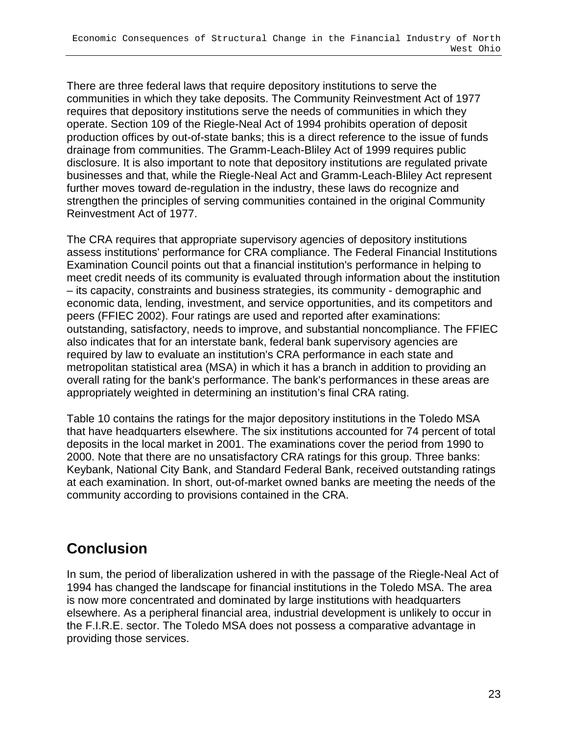There are three federal laws that require depository institutions to serve the communities in which they take deposits. The Community Reinvestment Act of 1977 requires that depository institutions serve the needs of communities in which they operate. Section 109 of the Riegle-Neal Act of 1994 prohibits operation of deposit production offices by out-of-state banks; this is a direct reference to the issue of funds drainage from communities. The Gramm-Leach-Bliley Act of 1999 requires public disclosure. It is also important to note that depository institutions are regulated private businesses and that, while the Riegle-Neal Act and Gramm-Leach-Bliley Act represent further moves toward de-regulation in the industry, these laws do recognize and strengthen the principles of serving communities contained in the original Community Reinvestment Act of 1977.

The CRA requires that appropriate supervisory agencies of depository institutions assess institutions' performance for CRA compliance. The Federal Financial Institutions Examination Council points out that a financial institution's performance in helping to meet credit needs of its community is evaluated through information about the institution – its capacity, constraints and business strategies, its community - demographic and economic data, lending, investment, and service opportunities, and its competitors and peers (FFIEC 2002). Four ratings are used and reported after examinations: outstanding, satisfactory, needs to improve, and substantial noncompliance. The FFIEC also indicates that for an interstate bank, federal bank supervisory agencies are required by law to evaluate an institution's CRA performance in each state and metropolitan statistical area (MSA) in which it has a branch in addition to providing an overall rating for the bank's performance. The bank's performances in these areas are appropriately weighted in determining an institution's final CRA rating.

Table 10 contains the ratings for the major depository institutions in the Toledo MSA that have headquarters elsewhere. The six institutions accounted for 74 percent of total deposits in the local market in 2001. The examinations cover the period from 1990 to 2000. Note that there are no unsatisfactory CRA ratings for this group. Three banks: Keybank, National City Bank, and Standard Federal Bank, received outstanding ratings at each examination. In short, out-of-market owned banks are meeting the needs of the community according to provisions contained in the CRA.

# **Conclusion**

In sum, the period of liberalization ushered in with the passage of the Riegle-Neal Act of 1994 has changed the landscape for financial institutions in the Toledo MSA. The area is now more concentrated and dominated by large institutions with headquarters elsewhere. As a peripheral financial area, industrial development is unlikely to occur in the F.I.R.E. sector. The Toledo MSA does not possess a comparative advantage in providing those services.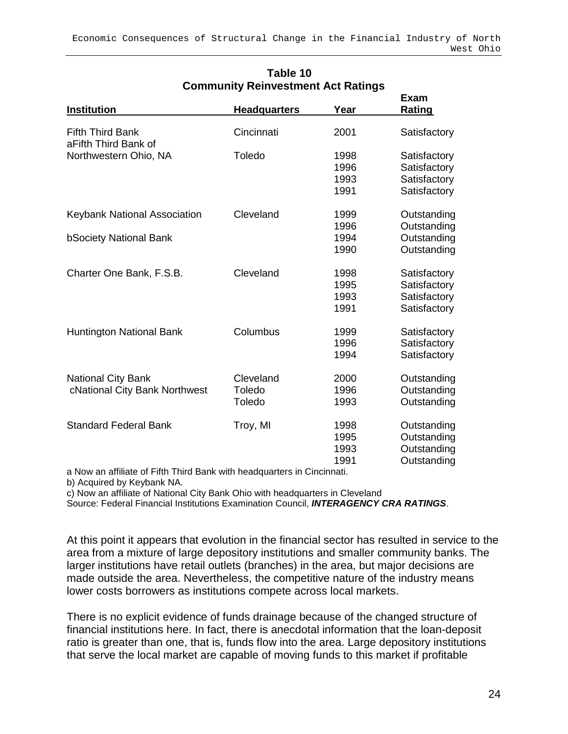| Institution                                     | <b>Headquarters</b> | Year | <b>Exam</b><br><b>Rating</b> |
|-------------------------------------------------|---------------------|------|------------------------------|
|                                                 |                     |      |                              |
| <b>Fifth Third Bank</b><br>aFifth Third Bank of | Cincinnati          | 2001 | Satisfactory                 |
| Northwestern Ohio, NA                           | Toledo              | 1998 | Satisfactory                 |
|                                                 |                     | 1996 | Satisfactory                 |
|                                                 |                     | 1993 | Satisfactory                 |
|                                                 |                     | 1991 | Satisfactory                 |
| <b>Keybank National Association</b>             | Cleveland           | 1999 | Outstanding                  |
|                                                 |                     | 1996 | Outstanding                  |
| <b>bSociety National Bank</b>                   |                     | 1994 | Outstanding                  |
|                                                 |                     | 1990 | Outstanding                  |
| Charter One Bank, F.S.B.                        | Cleveland           | 1998 | Satisfactory                 |
|                                                 |                     | 1995 | Satisfactory                 |
|                                                 |                     | 1993 | Satisfactory                 |
|                                                 |                     | 1991 | Satisfactory                 |
| <b>Huntington National Bank</b>                 | Columbus            | 1999 | Satisfactory                 |
|                                                 |                     | 1996 | Satisfactory                 |
|                                                 |                     | 1994 | Satisfactory                 |
| <b>National City Bank</b>                       | Cleveland           | 2000 | Outstanding                  |
| cNational City Bank Northwest                   | Toledo              | 1996 | Outstanding                  |
|                                                 | Toledo              | 1993 | Outstanding                  |
| <b>Standard Federal Bank</b>                    | Troy, MI            | 1998 | Outstanding                  |
|                                                 |                     | 1995 | Outstanding                  |
|                                                 |                     | 1993 | Outstanding                  |
|                                                 |                     | 1991 | Outstanding                  |

### **Table 10 Community Reinvestment Act Ratings**

a Now an affiliate of Fifth Third Bank with headquarters in Cincinnati.

b) Acquired by Keybank NA.

c) Now an affiliate of National City Bank Ohio with headquarters in Cleveland

Source: Federal Financial Institutions Examination Council, **INTERAGENCY CRA RATINGS**.

At this point it appears that evolution in the financial sector has resulted in service to the area from a mixture of large depository institutions and smaller community banks. The larger institutions have retail outlets (branches) in the area, but major decisions are made outside the area. Nevertheless, the competitive nature of the industry means lower costs borrowers as institutions compete across local markets.

There is no explicit evidence of funds drainage because of the changed structure of financial institutions here. In fact, there is anecdotal information that the loan-deposit ratio is greater than one, that is, funds flow into the area. Large depository institutions that serve the local market are capable of moving funds to this market if profitable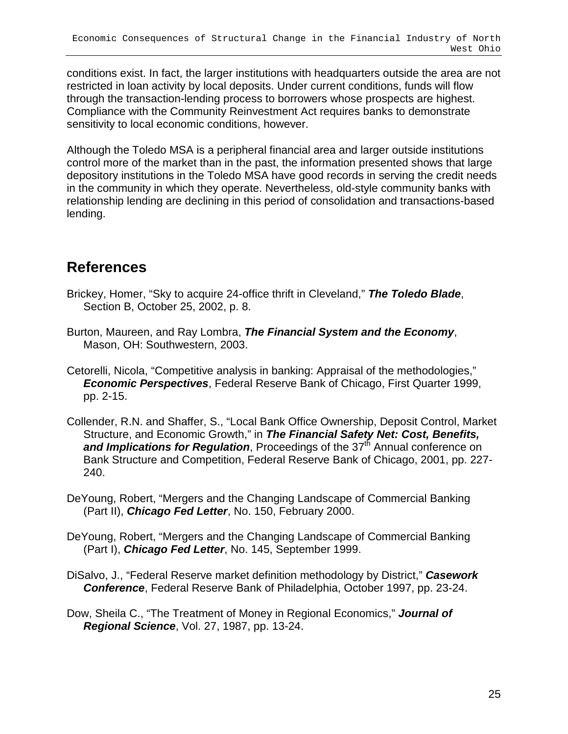conditions exist. In fact, the larger institutions with headquarters outside the area are not restricted in loan activity by local deposits. Under current conditions, funds will flow through the transaction-lending process to borrowers whose prospects are highest. Compliance with the Community Reinvestment Act requires banks to demonstrate sensitivity to local economic conditions, however.

Although the Toledo MSA is a peripheral financial area and larger outside institutions control more of the market than in the past, the information presented shows that large depository institutions in the Toledo MSA have good records in serving the credit needs in the community in which they operate. Nevertheless, old-style community banks with relationship lending are declining in this period of consolidation and transactions-based lending.

## **References**

- Brickey, Homer, "Sky to acquire 24-office thrift in Cleveland," **The Toledo Blade**, Section B, October 25, 2002, p. 8.
- Burton, Maureen, and Ray Lombra, **The Financial System and the Economy**, Mason, OH: Southwestern, 2003.
- Cetorelli, Nicola, "Competitive analysis in banking: Appraisal of the methodologies," **Economic Perspectives**, Federal Reserve Bank of Chicago, First Quarter 1999, pp. 2-15.
- Collender, R.N. and Shaffer, S., "Local Bank Office Ownership, Deposit Control, Market Structure, and Economic Growth," in **The Financial Safety Net: Cost, Benefits, and Implications for Regulation**, Proceedings of the 37<sup>th</sup> Annual conference on Bank Structure and Competition, Federal Reserve Bank of Chicago, 2001, pp. 227- 240.
- DeYoung, Robert, "Mergers and the Changing Landscape of Commercial Banking (Part II), **Chicago Fed Letter**, No. 150, February 2000.
- DeYoung, Robert, "Mergers and the Changing Landscape of Commercial Banking (Part I), **Chicago Fed Letter**, No. 145, September 1999.
- DiSalvo, J., "Federal Reserve market definition methodology by District," **Casework Conference**, Federal Reserve Bank of Philadelphia, October 1997, pp. 23-24.
- Dow, Sheila C., "The Treatment of Money in Regional Economics," **Journal of Regional Science**, Vol. 27, 1987, pp. 13-24.